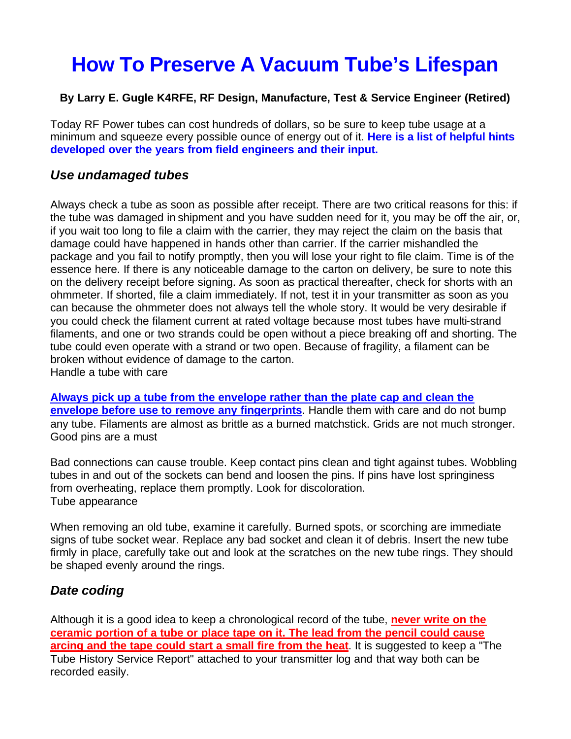# **How To Preserve A Vacuum Tube's Lifespan**

#### **By Larry E. Gugle K4RFE, RF Design, Manufacture, Test & Service Engineer (Retired)**

Today RF Power tubes can cost hundreds of dollars, so be sure to keep tube usage at a minimum and squeeze every possible ounce of energy out of it. **Here is a list of helpful hints developed over the years from field engineers and their input.**

#### *Use undamaged tubes*

Always check a tube as soon as possible after receipt. There are two critical reasons for this: if the tube was damaged in shipment and you have sudden need for it, you may be off the air, or, if you wait too long to file a claim with the carrier, they may reject the claim on the basis that damage could have happened in hands other than carrier. If the carrier mishandled the package and you fail to notify promptly, then you will lose your right to file claim. Time is of the essence here. If there is any noticeable damage to the carton on delivery, be sure to note this on the delivery receipt before signing. As soon as practical thereafter, check for shorts with an ohmmeter. If shorted, file a claim immediately. If not, test it in your transmitter as soon as you can because the ohmmeter does not always tell the whole story. It would be very desirable if you could check the filament current at rated voltage because most tubes have multi-strand filaments, and one or two strands could be open without a piece breaking off and shorting. The tube could even operate with a strand or two open. Because of fragility, a filament can be broken without evidence of damage to the carton. Handle a tube with care

**Always pick up a tube from the envelope rather than the plate cap and clean the envelope before use to remove any fingerprints**. Handle them with care and do not bump any tube. Filaments are almost as brittle as a burned matchstick. Grids are not much stronger. Good pins are a must

Bad connections can cause trouble. Keep contact pins clean and tight against tubes. Wobbling tubes in and out of the sockets can bend and loosen the pins. If pins have lost springiness from overheating, replace them promptly. Look for discoloration. Tube appearance

When removing an old tube, examine it carefully. Burned spots, or scorching are immediate signs of tube socket wear. Replace any bad socket and clean it of debris. Insert the new tube firmly in place, carefully take out and look at the scratches on the new tube rings. They should be shaped evenly around the rings.

# *Date coding*

Although it is a good idea to keep a chronological record of the tube, **never write on the ceramic portion of a tube or place tape on it. The lead from the pencil could cause arcing and the tape could start a small fire from the heat**. It is suggested to keep a "The Tube History Service Report" attached to your transmitter log and that way both can be recorded easily.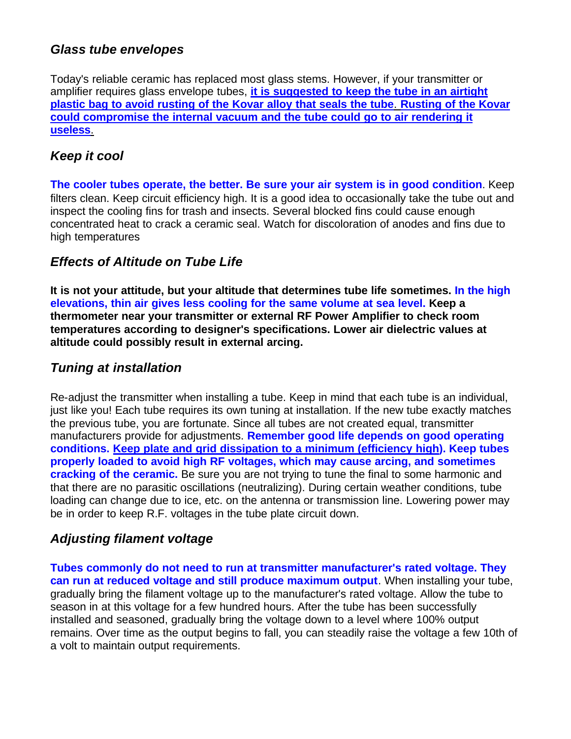# *Glass tube envelopes*

Today's reliable ceramic has replaced most glass stems. However, if your transmitter or amplifier requires glass envelope tubes, **it is suggested to keep the tube in an airtight plastic bag to avoid rusting of the Kovar alloy that seals the tube**. **Rusting of the Kovar could compromise the internal vacuum and the tube could go to air rendering it useless**.

# *Keep it cool*

**The cooler tubes operate, the better. Be sure your air system is in good condition**. Keep filters clean. Keep circuit efficiency high. It is a good idea to occasionally take the tube out and inspect the cooling fins for trash and insects. Several blocked fins could cause enough concentrated heat to crack a ceramic seal. Watch for discoloration of anodes and fins due to high temperatures

# *Effects of Altitude on Tube Life*

**It is not your attitude, but your altitude that determines tube life sometimes. In the high elevations, thin air gives less cooling for the same volume at sea level. Keep a thermometer near your transmitter or external RF Power Amplifier to check room temperatures according to designer's specifications. Lower air dielectric values at altitude could possibly result in external arcing.**

# *Tuning at installation*

Re-adjust the transmitter when installing a tube. Keep in mind that each tube is an individual, just like you! Each tube requires its own tuning at installation. If the new tube exactly matches the previous tube, you are fortunate. Since all tubes are not created equal, transmitter manufacturers provide for adjustments. **Remember good life depends on good operating conditions. Keep plate and grid dissipation to a minimum (efficiency high). Keep tubes properly loaded to avoid high RF voltages, which may cause arcing, and sometimes cracking of the ceramic.** Be sure you are not trying to tune the final to some harmonic and that there are no parasitic oscillations (neutralizing). During certain weather conditions, tube loading can change due to ice, etc. on the antenna or transmission line. Lowering power may be in order to keep R.F. voltages in the tube plate circuit down.

# *Adjusting filament voltage*

**Tubes commonly do not need to run at transmitter manufacturer's rated voltage. They can run at reduced voltage and still produce maximum output**. When installing your tube, gradually bring the filament voltage up to the manufacturer's rated voltage. Allow the tube to season in at this voltage for a few hundred hours. After the tube has been successfully installed and seasoned, gradually bring the voltage down to a level where 100% output remains. Over time as the output begins to fall, you can steadily raise the voltage a few 10th of a volt to maintain output requirements.